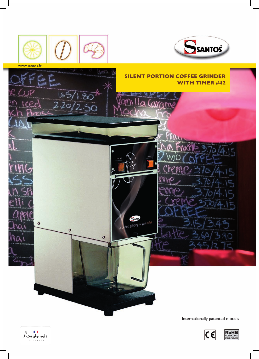



Internationally patented models



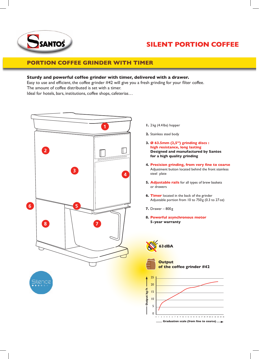

# **Silent portion coffee**

# **Portion coffee grinder with timer**

## **Sturdy and powerful coffee grinder with timer, delivered with a drawer.**

Easy to use and efficient, the coffee grinder #42 will give you a fresh grinding for your filter coffee. The amount of coffee distributed is set with a timer. Ideal for hotels, bars, institutions, coffee shops, cafeterias…



- **1.** 2kg (4.4 lbs) hopper
- **2.** Stainless steel body
- **3. Ø 63.5mm (2,5'') grinding discs : high resistance, long lasting Designed and manufactured by Santos for a high quality grinding**
- **4. Precision grinding, from very fine to coarse** Adjustment button located behind the front stainless steel plate
- **5. Adjustable rails** for all types of brew baskets or drawers
- **6. Timer** located in the back of the grinder Adjustable portion from 10 to 750g (0.3 to 27oz)
- **7.** Drawer 800g
- **8. Powerful asynchronous motor 5-year warranty**



**Output of the coffee grinder #42**

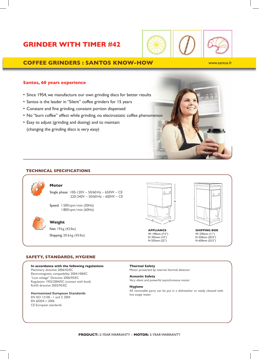# **Grinder with timer #42**



# **Coffee grinders : Santos Know-how**

#### www.santos.fr

### **Santos, 60 years experience**

- Since 1954, we manufacture our own grinding discs for better results
- Santos is the leader in ''Silent'' coffee grinders for 15 years
- Constant and fine grinding, constant portion dispensed
- No ''burn coffee'' effect while grinding, no electrostatic coffee phenomenon
- Easy to adjust (grinding and dosing) and to maintain (changing the grinding discs is very easy)

### **Technical specifications**



## **Motor**

Single phase: 100-120V – 50/60Hz – 650W – CE 220-240V – 50/60Hz – 600W – CE

Speed: 1500rpm/min (50Hz) 1800rpm/min (60Hz)



#### **Weight**

Net: 19 kg (42lbs) Shipping: 20.6 kg (45lbs)



**Appliance** W: 190mm (7.5'') D: 355mm (14'') H: 555mm (22'')



**shipping BOX** W: 270mm (11'') D: 520mm (20.5'') H: 650mm (25.5'')

#### **Safety, Standards, Hygiene**

### **In accordance with the following regulations**

Machinery directive 2006/42/EC Electromagnetic compatibility 2004/108/EC ''Low voltage'' Directive 2006/95/EC Regulation 1935/2004/EC (contact with food) RoHS directive 2002/95/EC

#### **Harmonized European Standards**

EN ISO 12100 - 1 and 2: 2004 EN 60204-1: 2006 CE European standards

**Thermal Safety**

Motor protected by internal thermal detector

#### **Acoustic Safety**

Very silent and powerful asynchronous motor

#### **Hygiene**

All removable parts can be put in a dishwasher or easily cleaned with hot soapy water.